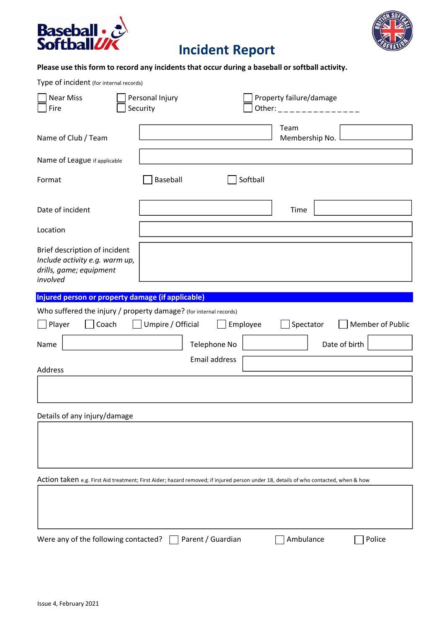



## **Incident Report**

### **Please use this form to record any incidents that occur during a baseball or softball activity.**

Type of incident (for internal records)

| <b>Near Miss</b><br>Fire                                                                                                             | Personal Injury<br>Security |          | Property failure/damage<br>Other: _ _ _ _ _ _ _ _ _ _ _ _ _ _ _ |
|--------------------------------------------------------------------------------------------------------------------------------------|-----------------------------|----------|-----------------------------------------------------------------|
| Name of Club / Team                                                                                                                  |                             |          | Team<br>Membership No.                                          |
| Name of League if applicable                                                                                                         |                             |          |                                                                 |
| Format                                                                                                                               | Baseball                    | Softball |                                                                 |
| Date of incident                                                                                                                     |                             |          | Time                                                            |
| Location                                                                                                                             |                             |          |                                                                 |
| Brief description of incident<br>Include activity e.g. warm up,<br>drills, game; equipment<br>involved                               |                             |          |                                                                 |
| Injured person or property damage (if applicable)                                                                                    |                             |          |                                                                 |
| Who suffered the injury / property damage? (for internal records)                                                                    |                             |          |                                                                 |
| Player<br>Coach                                                                                                                      | Umpire / Official           | Employee | Spectator<br>Member of Public                                   |
| Name                                                                                                                                 | Telephone No                |          | Date of birth                                                   |
| Address                                                                                                                              | Email address               |          |                                                                 |
|                                                                                                                                      |                             |          |                                                                 |
| Details of any injury/damage                                                                                                         |                             |          |                                                                 |
|                                                                                                                                      |                             |          |                                                                 |
| Action taken e.g. First Aid treatment; First Aider; hazard removed; if injured person under 18, details of who contacted, when & how |                             |          |                                                                 |
|                                                                                                                                      |                             |          |                                                                 |
| Were any of the following contacted?                                                                                                 | Parent / Guardian           |          | Ambulance<br>Police                                             |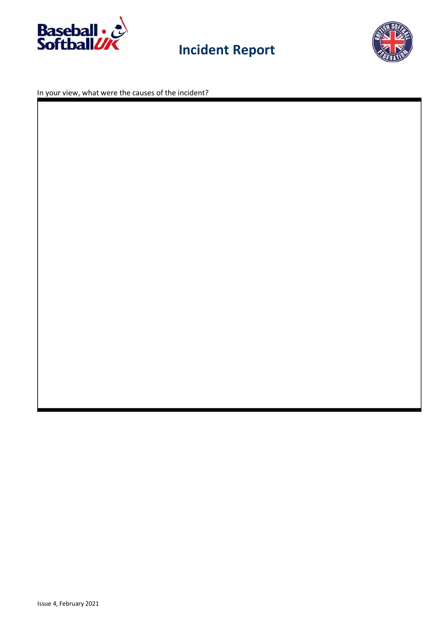

# **Incident Report**



In your view, what were the causes of the incident?